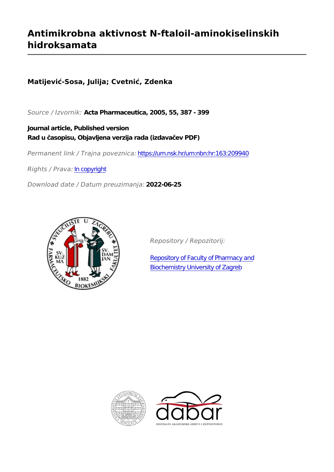# **Antimikrobna aktivnost N-ftaloil-aminokiselinskih hidroksamata**

**Matijević-Sosa, Julija; Cvetnić, Zdenka**

*Source / Izvornik:* **Acta Pharmaceutica, 2005, 55, 387 - 399**

**Journal article, Published version Rad u časopisu, Objavljena verzija rada (izdavačev PDF)**

*Permanent link / Trajna poveznica:* <https://urn.nsk.hr/urn:nbn:hr:163:209940>

*Rights / Prava:* [In copyright](http://rightsstatements.org/vocab/InC/1.0/)

*Download date / Datum preuzimanja:* **2022-06-25**



*Repository / Repozitorij:*

[Repository of Faculty of Pharmacy and](https://repozitorij.pharma.unizg.hr) [Biochemistry University of Zagreb](https://repozitorij.pharma.unizg.hr)



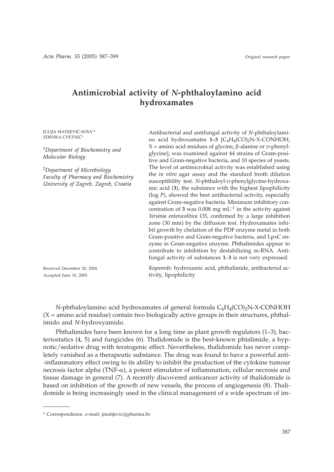# **Antimicrobial activity of** *N***-phthaloylamino acid hydroxamates**

JULIJA MATIJEVIĆ-SOSA<sup>1\*</sup> ZDENKA CVETNIĆ<sup>2</sup>

*1Department of Biochemistry and Molecular Biology*

*2Department of Microbiology Faculty of Pharmacy and Biochemistry University of Zagreb, Zagreb, Croatia*

Received December 20, 2004 Accepted June 10, 2005

Antibacterial and antifungal activity of *N*-phthaloylamino acid hydroxamates 1–3 [C<sub>6</sub>H<sub>4</sub>(CO)<sub>2</sub>N-X-CONHOH, X = amino acid residues of glycine, β-alanine or D-phenylglycine], was examined against 44 strains of Gram-positive and Gram-negative bacteria, and 10 species of yeasts. The level of antimicrobial activity was established using the *in vitro* agar assay and the standard broth dilution susceptibility test. *N*-phthaloyl-D-phenylglycine-hydroxamic acid (**3**), the substance with the highest lipophilicity (log *P*), showed the best antibacterial activity, especially against Gram-negative bacteria. Minimum inhibitory concentration of **3** was 0.008 mg mL–1 in the activity against *Yersinia enterocolitica* O3, confirmed by a large inhibition zone (30 mm) by the diffusion test. Hydroxamates inhibit growth by chelation of the PDF enzyme metal in both Gram-positive and Gram-negative bacteria, and LpxC enzyme in Gram-negative enzyme. Phthalimides appear to contribute to inhibition by destabilizing m-RNA. Antifungal activity of substances **1**–**3** is not very expressed.

*Keywords*: hydroxamic acid, phthalimide, antibacterial activity, lipophilicity

*N*-phthaloylamino acid hydroxamates of general formula  $C_6H_4(CO)_2N-X-CONHOH$  $(X = \text{amino acid residue})$  contain two biologically active groups in their structures, phthalimido and *N*-hydroxyamido.

Phthalimides have been known for a long time as plant growth regulators (1–3), bacteriostatics (4, 5) and fungicides (6). Thalidomide is the best-known phtalimide, a hypnotic/sedative drug with teratogenic effect. Nevertheless, thalidomide has never completely vanished as a therapeutic substance. The drug was found to have a powerful anti- -inflammatory effect owing to its ability to inhibit the production of the cytokine tumour necrosis factor alpha (TNF- $\alpha$ ), a potent stimulator of inflammation, cellular necrosis and tissue damage in general (7). A recently discovered anticancer activity of thalidomide is based on inhibition of the growth of new vessels, the process of angiogenesis (8). Thalidomide is being increasingly used in the clinical management of a wide spectrum of im-

<sup>\*</sup> Correspondence, e-mail: jmatijevic*@*pharma.hr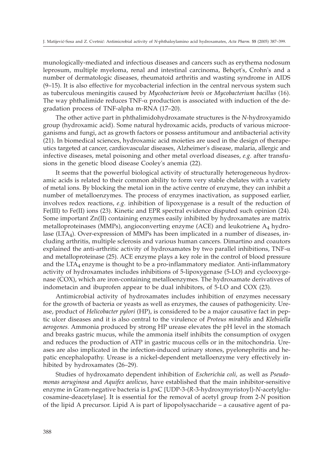munologically-mediated and infectious diseases and cancers such as erythema nodosum leprosum, multiple myeloma, renal and intestinal carcinoma, Behçet's, Crohn's and a number of dermatologic diseases, rheumatoid arthritis and wasting syndrome in AIDS (9–15). It is also effective for mycobacterial infection in the central nervous system such as tuberculous meningitis caused by *Mycobacterium bovis* or *Mycobacterium bacillus* (16). The way phthalimide reduces  $TNF-\alpha$  production is associated with induction of the degradation process of TNF-alpha m-RNA (17–20).

The other active part in phthalimidohydroxamate structures is the *N*-hydroxyamido group (hydroxamic acid). Some natural hydroxamic acids, products of various microorganisms and fungi, act as growth factors or possess antitumour and antibacterial activity (21). In biomedical sciences, hydroxamic acid moieties are used in the design of therapeutics targeted at cancer, cardiovascular diseases, Alzheimer's disease, malaria, allergic and infective diseases, metal poisoning and other metal overload diseases, *e.g.* after transfusions in the genetic blood disease Cooley's anemia (22).

It seems that the powerful biological activity of structurally heterogeneous hydroxamic acids is related to their common ability to form very stable chelates with a variety of metal ions. By blocking the metal ion in the active centre of enzyme, they can inhibit a number of metalloenzymes. The process of enzymes inactivation, as supposed earlier, involves redox reactions, *e.g.* inhibition of lipoxygenase is a result of the reduction of Fe(III) to Fe(II) ions (23). Kinetic and EPR spectral evidence disputed such opinion (24). Some important Zn(II) containing enzymes easily inhibited by hydroxamates are matrix metalloproteinases (MMPs), angioconverting enzyme (ACE) and leukotriene  $A_4$  hydrolase (LTA<sub>4</sub>). Over-expression of MMPs has been implicated in a number of diseases, including arthritis, multiple sclerosis and various human cancers. Dimartino and coautors explained the anti-arthritic activity of hydroxamates by two parallel inhibitions,  $TNF-\alpha$ and metalloproteinase (25). ACE enzyme plays a key role in the control of blood pressure and the  $LTA_4$  enzyme is thought to be a pro-inflammatory mediator. Anti-inflammatory activity of hydroxamates includes inhibitions of 5-lipoxygenase (5-LO) and cyclooxygenase (COX), which are iron-containing metalloenzymes. The hydroxamate derivatives of indometacin and ibuprofen appear to be dual inhibitors, of 5-LO and COX (23).

Antimicrobial activity of hydroxamates includes inhibition of enzymes necessary for the growth of bacteria or yeasts as well as enzymes, the causes of pathogenicity. Urease, product of *Helicobacter pylori* (HP), is considered to be a major causative fact in peptic ulcer diseases and it is also central to the virulence of *Proteus mirabilis* and *Klebsiella aerogenes.* Ammonia produced by strong HP urease elevates the pH level in the stomach and breaks gastric mucus, while the ammonia itself inhibits the consumption of oxygen and reduces the production of ATP in gastric mucous cells or in the mitochondria. Ureases are also implicated in the infection-induced urinary stones, pyelonephritis and hepatic encephalopathy. Urease is a nickel-dependent metalloenzyme very effectively inhibited by hydroxamates (26–29).

Studies of hydroxamato dependent inhibition of *Escherichia coli,* as well as *Pseudomonas aeruginosa* and *Aquifex aeolicus,* have established that the main inhibitor-sensitive enzyme in Gram-negative bacteria is LpxC [UDP-3-(*R*-3-hydroxymyristoyl)-*N-*acetylglucosamine-deacetylase]. It is essential for the removal of acetyl group from 2-*N* position of the lipid A precursor. Lipid A is part of lipopolysaccharide – a causative agent of pa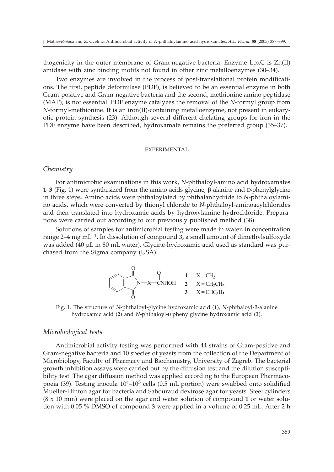thogenicity in the outer membrane of Gram-negative bacteria. Enzyme LpxC is Zn(II) amidase with zinc binding motifs not found in other zinc metalloenzymes (30–34).

Two enzymes are involved in the process of post-translational protein modifications. The first, peptide deformilase (PDF), is believed to be an essential enzyme in both Gram-positive and Gram-negative bacteria and the second, methionine amino peptidase (MAP), is not essential. PDF enzyme catalyzes the removal of the *N*-formyl group from *N*-formyl-methionine. It is an iron(II)-containing metalloenzyme, not present in eukaryotic protein synthesis (23). Although several different chelating groups for iron in the PDF enzyme have been described, hydroxamate remains the preferred group (35–37).

#### EXPERIMENTAL

## *Chemistry*

For antimicrobic examinations in this work, *N*-phthaloyl-amino acid hydroxamates **1–3** (Fig. 1) were synthesized from the amino acids glycine,  $\beta$ -alanine and D-phenylglycine in three steps. Amino acids were phthaloylated by phthalanhydride to *N*-phthaloylamino acids, which were converted by thionyl chloride to *N*-phthaloyl-aminoacylchlorides and then translated into hydroxamic acids by hydroxylamine hydrochloride. Preparations were carried out according to our previously published method (38).

Solutions of samples for antimicrobial testing were made in water, in concentration range  $2-4$  mg mL<sup>-1</sup>. In dissolution of compound **3**, a small amount of dimethylsulfoxyde was added (40 µL in 80 mL water). Glycine-hydroxamic acid used as standard was purchased from the Sigma company (USA).



Fig. 1. The structure of *N*-phthaloyl-glycine hydroxamic acid (**1**), *N*-phthaloyl--alanine hydroxamic acid (**2**) and *N*-phthaloyl-D-phenylglycine hydroxamic acid (**3**).

#### *Microbiological tests*

Antimicrobial activity testing was performed with 44 strains of Gram-positive and Gram-negative bacteria and 10 species of yeasts from the collection of the Department of Microbiology, Faculty of Pharmacy and Biochemistry, University of Zagreb. The bacterial growth inhibition assays were carried out by the diffusion test and the dilution susceptibility test. The agar diffusion method was applied according to the European Pharmacopoeia (39). Testing inocula  $10^{4}-10^{5}$  cells (0.5 mL portion) were swabbed onto solidified Mueller-Hinton agar for bacteria and Sabouraud dextrose agar for yeasts. Steel cylinders (8 x 10 mm) were placed on the agar and water solution of compound **1** or water solution with 0.05 % DMSO of compound **3** were applied in a volume of 0.25 mL. After 2 h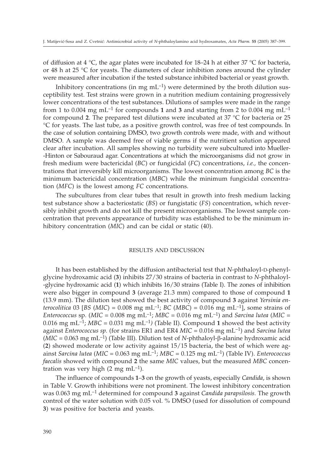of diffusion at 4  $\degree$ C, the agar plates were incubated for 18–24 h at either 37  $\degree$ C for bacteria, or 48 h at 25 °C for yeasts. The diameters of clear inhibition zones around the cylinder were measured after incubation if the tested substance inhibited bacterial or yeast growth.

Inhibitory concentrations (in mg  $m<sup>-1</sup>$ ) were determined by the broth dilution susceptibility test. Test strains were grown in a nutrition medium containing progressively lower concentrations of the test substances. Dilutions of samples were made in the range from 1 to 0.004 mg mL<sup>-1</sup> for compounds 1 and 3 and starting from 2 to 0.004 mg mL<sup>-1</sup> for compound **2**. The prepared test dilutions were incubated at 37 °C for bacteria or 25 °C for yeasts. The last tube, as a positive growth control, was free of test compounds. In the case of solution containing DMSO, two growth controls were made, with and without DMSO. A sample was deemed free of viable germs if the nutritient solution appeared clear after incubation. All samples showing no turbidity were subcultured into Mueller- -Hinton or Sabouraud agar. Concentrations at which the microorganisms did not grow in fresh medium were bactericidal (*BC*) or fungicidal (*FC*) concentrations, *i.e.,* the concentrations that irreversibly kill microorganisms. The lowest concentration among *BC* is the minimum bactericidal concentration (*MBC*) while the minimum fungicidal concentration (*MFC*) is the lowest among *FC* concentrations.

The subcultures from clear tubes that result in growth into fresh medium lacking test substance show a bacteriostatic (*BS*) or fungistatic (*FS*) concentration, which reversibly inhibit growth and do not kill the present microorganisms. The lowest sample concentration that prevents appearance of turbidity was established to be the minimum inhibitory concentration (*MIC*) and can be cidal or static (40).

#### RESULTS AND DISCUSSION

It has been established by the diffusion antibacterial test that *N*-phthaloyl-D-phenylglycine hydroxamic acid (**3**) inhibits 27/30 strains of bacteria in contrast to *N*-phthaloyl- -glycine hydroxamic acid (**1**) which inhibits 16/30 strains (Table I). The zones of inhibition were also bigger in compound **3** (average 21.3 mm) compared to those of compound **1** (13.9 mm). The dilution test showed the best activity of compound **3** against *Yersinia enterocolitica* 03 [BS (MIC) = 0.008 mg mL<sup>-1</sup>; *BC* (MBC) = 0.016 mg mL<sup>-1</sup>], some strains of *Enterococcus* sp. (*MIC* = 0.008 mg mL<sup>-1</sup>; *MBC* = 0.016 mg mL<sup>-1</sup>) and *Sarcina lutea* (*MIC* = 0.016 mg mL<sup>-1</sup>; *MBC* = 0.031 mg mL<sup>-1</sup>) (Table II). Compound 1 showed the best activity against *Enterococcus sp.* (for strains ER1 and ER4 *MIC* = 0.016 mg mL–1) and *Sarcina lutea*  $(MIC = 0.063$  mg mL<sup>-1</sup>) (Table III). Dilution test of *N*-phthaloyl- $\beta$ -alanine hydroxamic acid (**2**) showed moderate or low activity against 15/15 bacteria, the best of which were against *Sarcina lutea* (*MIC* = 0.063 mg mL–1; *MBC* = 0.125 mg mL–1) (Table IV). *Enterococcus faecalis* showed with compound **2** the same *MIC* values, but the measured *MBC* concentration was very high  $(2 \text{ mg } \text{mL}^{-1})$ .

The influence of compounds **1**–**3** on the growth of yeasts, especially *Candida*, is shown in Table V. Growth inhibitions were not prominent. The lowest inhibitory concentration was 0.063 mg mL–1 determined for compound **3** against *Candida parapsilosis.* The growth control of the water solution with 0.05 vol. % DMSO (used for dissolution of compound **3**) was positive for bacteria and yeasts.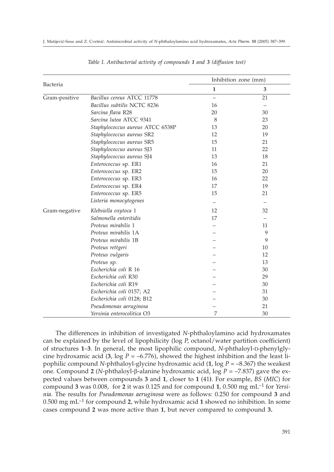|               |                                  | Inhibition zone (mm) |    |  |
|---------------|----------------------------------|----------------------|----|--|
| Bacteria      |                                  | 1                    | 3  |  |
| Gram-positive | Bacillus cereus ATCC 11778       |                      | 21 |  |
|               | Bacillus subtilis NCTC 8236      | 16                   |    |  |
|               | Sarcina flava R28                | 20                   | 30 |  |
|               | Sarcina lutea ATCC 9341          | 8                    | 23 |  |
|               | Staphylococcus aureus ATCC 6538P | 13                   | 20 |  |
|               | Staphylococcus aureus SR2        | 12                   | 19 |  |
|               | Staphylococcus aureus SR5        | 15                   | 21 |  |
|               | Staphylococcus aureus SJ3        | 11                   | 22 |  |
|               | Staphylococcus aureus SJ4        | 13                   | 18 |  |
|               | Enterococcus sp. ER1             | 16                   | 21 |  |
|               | Enterococcus sp. ER2             | 15                   | 20 |  |
|               | Enterococcus sp. ER3             | 16                   | 22 |  |
|               | Enterococcus sp. ER4             | 17                   | 19 |  |
|               | Enterococcus sp. ER5             | 15                   | 21 |  |
|               | Listeria monocytogenes           |                      |    |  |
| Gram-negative | Klebsiella oxytoca 1             | 12                   | 32 |  |
|               | Salmonella enteritidis           | 17                   | —  |  |
|               | Proteus mirabilis 1              |                      | 11 |  |
|               | Proteus mirabilis 1A             |                      | 9  |  |
|               | Proteus mirabilis 1B             |                      | 9  |  |
|               | Proteus rettgeri                 |                      | 10 |  |
|               | Proteus vulgaris                 |                      | 12 |  |
|               | Proteus sp.                      |                      | 13 |  |
|               | Escherichia coli R 16            |                      | 30 |  |
|               | Escherichia coli R30             |                      | 29 |  |
|               | Escherichia coli R19             |                      | 30 |  |
|               | Escherichia coli 0157; A2        |                      | 31 |  |
|               | Escherichia coli 0128; B12       |                      | 30 |  |
|               | Pseudomonas aeruginosa           |                      | 21 |  |
|               | Yersinia enterocolitica O3       | 7                    | 30 |  |

*Table I. Antibacterial activity of compounds 1 and 3 (diffusion test)*

The differences in inhibition of investigated *N*-phthaloylamino acid hydroxamates can be explained by the level of lipophilicity (log *P*, octanol/water partition coefficient) of structures **1**–**3**. In general, the most lipophilic compound, *N*-phthaloyl-D-phenylglycine hydroxamic acid (3,  $\log P = -6.776$ ), showed the highest inhibition and the least lipophilic compound *N*-phthaloyl-glycine hydroxamic acid  $(1, \log P = -8.367)$  the weakest one. Compound 2 (*N*-phthaloyl- $\beta$ -alanine hydroxamic acid, log  $P = -7.837$ ) gave the expected values between compounds **3** and **1**, closer to **1** (41**)**. For example, *BS* (*MIC*) for compound **3** was 0.008, for **2** it was 0.125 and for compound **1**, 0.500 mg mL–1 for *Yersinia.* The results for *Pseudomonas aeruginosa* were as follows: 0.250 for compound **3** and 0.500 mg mL–1 for compound **2**, while hydroxamic acid **1** showed no inhibition. In some cases compound **2** was more active than **1**, but never compared to compound **3.**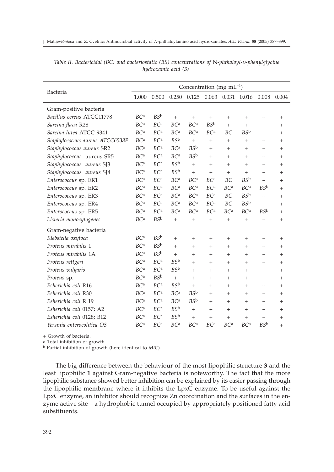|                                 | Concentration (mg mL <sup>-1</sup> ) |                        |                        |                        |                        |                        |                        |                 |        |
|---------------------------------|--------------------------------------|------------------------|------------------------|------------------------|------------------------|------------------------|------------------------|-----------------|--------|
| Bacteria                        | 1.000                                | 0.500                  | 0.250                  | 0.125                  | 0.063 0.031            |                        | 0.016                  | 0.008           | 0.004  |
| Gram-positive bacteria          |                                      |                        |                        |                        |                        |                        |                        |                 |        |
| Bacillus cereus ATCC11778       | BC <sup>a</sup>                      | $BS^{\rm b}$           | $^{+}$                 | $+$                    |                        | $+$                    | $+$                    | $+$             | $+$    |
| Sarcina flava R28               | BC <sup>a</sup>                      | BC <sup>a</sup>        | BC <sup>a</sup>        | BC <sup>a</sup>        | $BS^{\rm b}$           | $+$                    | $+$                    | $+$             | $^{+}$ |
| Sarcina lutea ATCC 9341         | <b>BC</b> <sup>a</sup>               | <b>BC</b> <sup>a</sup> | <b>BC</b> <sup>a</sup> | <b>BC</b> <sup>a</sup> | BC <sup>a</sup>        | BC                     | BS <sup>b</sup>        | $^{+}$          | $^{+}$ |
| Staphylococcus aureus ATCC6538P | <b>BC</b> <sup>a</sup>               | BC <sup>a</sup>        | $BS^{\rm b}$           | $^{+}$                 | $^{+}$                 | $^{+}$                 | $^{+}$                 | $^{+}$          | $^{+}$ |
| Staphylococcus aureus SR2       | BC <sup>a</sup>                      | BC <sup>a</sup>        | BC <sup>a</sup>        | $BS^{\rm b}$           | $^{+}$                 | $+$                    | $^{+}$                 | $^{+}$          | $^{+}$ |
| Staphylococcus aureus SR5       | <b>BC</b> <sup>a</sup>               | <b>BC</b> <sup>a</sup> | <b>BC</b> <sup>a</sup> | BS <sup>b</sup>        | $^{+}$                 | $^{+}$                 | $+$                    | $^{+}$          | $+$    |
| Staphylococcus aureus SJ3       | BC <sup>a</sup>                      | BC <sup>a</sup>        | $BS^{\rm b}$           | $+$                    | $^{+}$                 | $+$                    | $+$                    | $+$             | $+$    |
| Staphylococcus aureus SJ4       | BC <sup>a</sup>                      | BC <sup>a</sup>        | $BS^{\rm b}$           | $+$                    | $^{+}$                 | $+$                    | $+$                    | $^{+}$          | $^{+}$ |
| Enterococcus sp. ER1            | <b>BC</b> <sup>a</sup>               | <b>BC</b> <sup>a</sup> | <b>BC</b> <sup>a</sup> | <b>BC</b> <sup>a</sup> | BC <sup>a</sup>        | BC                     | BS <sup>b</sup>        | $^{+}$          | $^{+}$ |
| Enterococcus sp. ER2            | BC <sup>a</sup>                      | BC <sup>a</sup>        | BC <sup>a</sup>        | BC <sup>a</sup>        | BC <sup>a</sup>        | BC <sup>a</sup>        | BC <sup>a</sup>        | $BS^{\rm b}$    | $^{+}$ |
| Enterococcus sp. ER3            | <b>BC</b> <sup>a</sup>               | BC <sup>a</sup>        | BC <sup>a</sup>        | <b>BC</b> <sup>a</sup> | BC <sup>a</sup>        | BC                     | $BS^{\rm b}$           | $+$             | $+$    |
| Enterococcus sp. ER4            | <b>BC</b> <sup>a</sup>               | <b>BC</b> <sup>a</sup> | <b>BC</b> <sup>a</sup> | <b>BC</b> <sup>a</sup> | BC <sup>a</sup>        | <b>BC</b>              | BS <sup>b</sup>        | $+$             | $^{+}$ |
| Enterococcus sp. ER5            | BC <sup>a</sup>                      | BC <sup>a</sup>        | BC <sup>a</sup>        | BC <sup>a</sup>        | BC <sup>a</sup>        | BC <sup>a</sup>        | <b>BC</b> <sup>a</sup> | BSb             | $+$    |
| Listeria monocytogenes          | <b>BC</b> <sup>a</sup>               | $BS^{\rm b}$           | $^{+}$                 | $^{+}$                 | $^{+}$                 | $\! + \!\!\!\!$        | $^{+}$                 | $^{+}$          | $^{+}$ |
| Gram-negative bacteria          |                                      |                        |                        |                        |                        |                        |                        |                 |        |
| Klebsiella oxytoca              | BC <sup>a</sup>                      | $BS^{\rm b}$           | $+$                    | $+$                    | $^{+}$                 | $+$                    | $+$                    | $+$             | $+$    |
| Proteus mirabilis 1             | <b>BC</b> <sup>a</sup>               | $BS^{\rm b}$           | $^{+}$                 | $+$                    | $^{+}$                 | $+$                    | $+$                    | $^{+}$          | $^{+}$ |
| Proteus mirabilis 1A            | <b>BC</b> <sup>a</sup>               | BS <sup>b</sup>        | $^{+}$                 | $^{+}$                 | $^{+}$                 | $+$                    | $^{+}$                 | $^{+}$          | $^{+}$ |
| Proteus rettgeri                | BC <sup>a</sup>                      | BC <sup>a</sup>        | $BS^{\rm b}$           | $^{+}$                 | $^{+}$                 | $^{+}$                 | $^{+}$                 | $^{+}$          | $+$    |
| Proteus vulgaris                | BC <sup>a</sup>                      | BC <sup>a</sup>        | $BS^{\rm b}$           | $+$                    | $^{+}$                 | $+$                    | $^{+}$                 | $^{+}$          | $^{+}$ |
| Proteus sp.                     | <b>BC</b> <sup>a</sup>               | BS <sup>b</sup>        | $+$                    | $+$                    | $^{+}$                 | $^{+}$                 | $^{+}$                 | $^{+}$          | $^{+}$ |
| Esherichia coli R16             | BC <sup>a</sup>                      | <b>BC</b> <sup>a</sup> | $BS^{\rm b}$           | $^{+}$                 | $^{+}$                 | $+$                    | $+$                    | $^{+}$          | $^{+}$ |
| Esherichia coli R30             | BC <sup>a</sup>                      | BC <sup>a</sup>        | BC <sup>a</sup>        | $BS^{\rm b}$           | $^{+}$                 | $+$                    | $^{+}$                 | $^{+}$          | $^{+}$ |
| Esherichia coli R 19            | <b>BC</b> <sup>a</sup>               | <b>BC</b> <sup>a</sup> | <b>BC</b> <sup>a</sup> | BS <sup>b</sup>        | $^{+}$                 | $+$                    | $+$                    | $+$             | $^{+}$ |
| Esherichia coli 0157; A2        | BC <sup>a</sup>                      | BC <sup>a</sup>        | $BS^{\rm b}$           | $+$                    | $^{+}$                 | $+$                    | $+$                    | $+$             | $+$    |
| Esherichia coli 0128; B12       | BC <sup>a</sup>                      | BC <sup>a</sup>        | $BS^{\rm b}$           | $^{+}$                 | $\! +$                 | $^{+}$                 | $^{+}$                 | $^{+}$          | $^{+}$ |
| Yersinia enterocolitica O3      | <b>BC</b> <sup>a</sup>               | <b>BC</b> <sup>a</sup> | <b>BC</b> <sup>a</sup> | <b>BC</b> <sup>a</sup> | <b>BC</b> <sup>a</sup> | <b>BC</b> <sup>a</sup> | <b>BC</b> <sup>a</sup> | BS <sup>b</sup> | $^{+}$ |

*Table II. Bactericidal (BC) and bacteriostatic (BS) concentrations of* N*-phthaloyl-D-phenylglycine hydroxamic acid (3)*

+ Growth of bacteria.

a Total inhibition of growth.

<sup>b</sup> Partial inhibition of growth (here identical to *MIC*).

The big difference between the behaviour of the most lipophilic structure **3** and the least lipophilic **1** against Gram-negative bacteria is noteworthy. The fact that the more lipophilic substance showed better inhibition can be explained by its easier passing through the lipophilic membrane where it inhibits the LpxC enzyme. To be useful against the LpxC enzyme, an inhibitor should recognize Zn coordination and the surfaces in the enzyme active site – a hydrophobic tunnel occupied by appropriately positioned fatty acid substituents.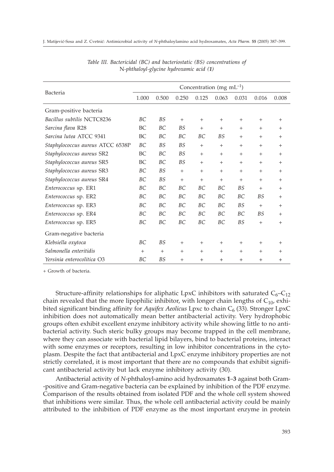|                                  | Concentration (mg $mL^{-1}$ ) |           |           |           |           |           |           |           |
|----------------------------------|-------------------------------|-----------|-----------|-----------|-----------|-----------|-----------|-----------|
| Bacteria                         | 1.000                         | 0.500     | 0.250     | 0.125     | 0.063     | 0.031     | 0.016     | 0.008     |
| Gram-positive bacteria           |                               |           |           |           |           |           |           |           |
| Bacillus subtilis NCTC8236       | BC                            | <b>BS</b> | $+$       | $+$       | $+$       | $^{+}$    | $+$       | $^{+}$    |
| Sarcina flava R28                | BC                            | BC        | <b>BS</b> | $+$       | $+$       | $^{+}$    | $^{+}$    | $^{+}$    |
| Sarcina lutea ATCC 9341          | BC                            | ВC        | ВC        | BC        | <b>BS</b> | $+$       | $^{+}$    | $^{+}$    |
| Staphylococcus aureus ATCC 6538P | BC                            | <b>BS</b> | <b>BS</b> | $+$       | $+$       | $+$       | $+$       | $+$       |
| Staphylococcus aureus SR2        | BC                            | BC        | <b>BS</b> | $+$       | $+$       | $^{+}$    | $^{+}$    | $^{+}$    |
| Staphylococcus aureus SR5        | BC                            | ВC        | <b>BS</b> | $+$       | $+$       | $+$       | $+$       | $+$       |
| Staphylococcus aureus SR3        | BC                            | <b>BS</b> | $+$       | $+$       | $+$       | $+$       | $+$       | $+$       |
| Staphylococcus aureus SR4        | BC                            | <b>BS</b> | $+$       | $+$       | $+$       | $+$       | $+$       | $+$       |
| Enterococcus sp. ER1             | ВC                            | BC        | ВC        | ВC        | BC        | <b>BS</b> | $+$       | $+$       |
| Enterococcus sp. ER2             | ВC                            | BC        | BC        | BC        | BC        | BC        | <b>BS</b> | $+$       |
| Enterococcus sp. ER3             | BC                            | BC        | BC        | BC        | BC        | <b>BS</b> | $+$       | $+$       |
| Enterococcus sp. ER4             | <b>BC</b>                     | BC        | BC        | <b>BC</b> | BC        | BC.       | BS        | $^{+}$    |
| Enterococcus sp. ER5             | ВC                            | BC        | BC        | BC        | BC        | <b>BS</b> | $+$       | $+$       |
| Gram-negative bacteria           |                               |           |           |           |           |           |           |           |
| Klebsiella oxytoca               | BC                            | <b>BS</b> | $^{+}$    | $^{+}$    | $^{+}$    | $^{+}$    | $^{+}$    | $+$       |
| Salmonella enteritidis           | $+$                           | $+$       | $+$       | $+$       | $+$       | $+$       | $+$       | $+$       |
| Yersinia enterocolitica O3       | ВC                            | <b>BS</b> | $^{+}$    | $+$       | $\ddot{}$ | $^{+}$    | $^{+}$    | $\ddot{}$ |

*Table III. Bactericidal (BC) and bacteriostatic (BS) concentrations of* N*-phthaloyl-glycine hydroxamic acid (1)*

+ Growth of bacteria.

Structure-affinity relationships for aliphatic LpxC inhibitors with saturated  $C_6-C_{12}$ chain revealed that the more lipophilic inhibitor, with longer chain lengths of  $C_{10}$ , exhibited significant binding affinity for *Aquifex Aeolicus* Lpxc to chain C<sub>6</sub> (33). Stronger LpxC inhibition does not automatically mean better antibacterial activity. Very hydrophobic groups often exhibit excellent enzyme inhibitory activity while showing little to no antibacterial activity. Such steric bulky groups may become trapped in the cell membrane, where they can associate with bacterial lipid bilayers, bind to bacterial proteins, interact with some enzymes or receptors, resulting in low inhibitor concentrations in the cytoplasm. Despite the fact that antibacterial and LpxC enzyme inhibitory properties are not strictly correlated, it is most important that there are no compounds that exhibit significant antibacterial activity but lack enzyme inhibitory activity (30).

Antibacterial activity of *N*-phthaloyl-amino acid hydroxamates **1**–**3** against both Gram- -positive and Gram-negative bacteria can be explained by inhibition of the PDF enzyme. Comparison of the results obtained from isolated PDF and the whole cell system showed that inhibitions were similar. Thus, the whole cell antibacterial activity could be mainly attributed to the inhibition of PDF enzyme as the most important enzyme in protein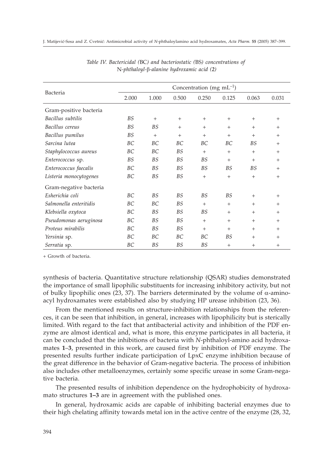|                        | Concentration (mg $mL^{-1}$ ) |           |           |           |           |           |        |  |  |
|------------------------|-------------------------------|-----------|-----------|-----------|-----------|-----------|--------|--|--|
| Bacteria               | 2.000                         | 1.000     | 0.500     | 0.250     | 0.125     | 0.063     | 0.031  |  |  |
| Gram-positive bacteria |                               |           |           |           |           |           |        |  |  |
| Bacillus subtilis      | <b>BS</b>                     | $+$       | $+$       | $+$       | $+$       | $+$       | $^{+}$ |  |  |
| Bacillus cereus        | <b>BS</b>                     | <b>BS</b> | $^{+}$    | $^{+}$    | $+$       | $+$       | $^{+}$ |  |  |
| Bacillus pumilus       | <b>BS</b>                     | $+$       | $+$       | $+$       | $^{+}$    | $^{+}$    | $^{+}$ |  |  |
| Sarcina lutea          | BC                            | BC        | BC        | BC        | BC        | <b>BS</b> | $^{+}$ |  |  |
| Staphylococcus aureus  | ВC                            | ВC        | <b>BS</b> | $^{+}$    | $+$       | $+$       | $^{+}$ |  |  |
| Enterococcus sp.       | <b>BS</b>                     | <b>BS</b> | BS        | <b>BS</b> | $+$       | $^{+}$    | $^{+}$ |  |  |
| Enterococcus faecalis  | BC                            | <b>BS</b> | <b>BS</b> | <b>BS</b> | <b>BS</b> | <b>BS</b> | $^{+}$ |  |  |
| Listeria monocytogenes | BC                            | <b>BS</b> | BS        | $+$       | $+$       | $+$       | $+$    |  |  |
| Gram-negative bacteria |                               |           |           |           |           |           |        |  |  |
| Esherichia coli        | BC                            | <b>BS</b> | <b>BS</b> | <b>BS</b> | <b>BS</b> | $+$       | $^{+}$ |  |  |
| Salmonella enteritidis | BC                            | BC        | <b>BS</b> | $^{+}$    | $^{+}$    | $^{+}$    | $^{+}$ |  |  |
| Klebsiella oxytoca     | BC                            | <b>BS</b> | <b>BS</b> | <b>BS</b> | $^{+}$    | $^{+}$    | $^{+}$ |  |  |
| Pseudomonas aeruginosa | BC                            | <b>BS</b> | <b>BS</b> | $+$       | $^{+}$    | $+$       | $+$    |  |  |
| Proteus mirabilis      | BC                            | <b>BS</b> | <b>BS</b> | $^{+}$    | $^{+}$    | $^{+}$    | $^{+}$ |  |  |
| Yersinia sp.           | ВC                            | ВC        | BC        | BC        | ΒS        | $^{+}$    | $^{+}$ |  |  |
| Serratia sp.           | ВC                            | <b>BS</b> | <b>BS</b> | <b>BS</b> | $+$       | $+$       | $+$    |  |  |

*Table IV. Bactericidal (*BC*) and bacteriostatic (*BS*) concentrations of* N*-phthaloyl--alanine hydroxamic acid (2)*

+ Growth of bacteria.

synthesis of bacteria. Quantitative structure relationship (QSAR) studies demonstrated the importance of small lipophilic substituents for increasing inhibitory activity, but not of bulky lipophilic ones (23, 37). The barriers determinated by the volume of  $\alpha$ -aminoacyl hydroxamates were established also by studying HP urease inhibition (23, 36).

From the mentioned results on structure-inhibition relationships from the references, it can be seen that inhibition, in general, increases with lipophilicity but is sterically limited. With regard to the fact that antibacterial activity and inhibition of the PDF enzyme are almost identical and, what is more, this enzyme participates in all bacteria, it can be concluded that the inhibitions of bacteria with *N*-phthaloyl-amino acid hydroxamates **1**–**3**, presented in this work, are caused first by inhibition of PDF enzyme. The presented results further indicate participation of LpxC enzyme inhibition because of the great difference in the behavior of Gram-negative bacteria. The process of inhibition also includes other metalloenzymes, certainly some specific urease in some Gram-negative bacteria.

The presented results of inhibition dependence on the hydrophobicity of hydroxamato structures **1–3** are in agreement with the published ones.

In general, hydroxamic acids are capable of inhibiting bacterial enzymes due to their high chelating affinity towards metal ion in the active centre of the enzyme (28, 32,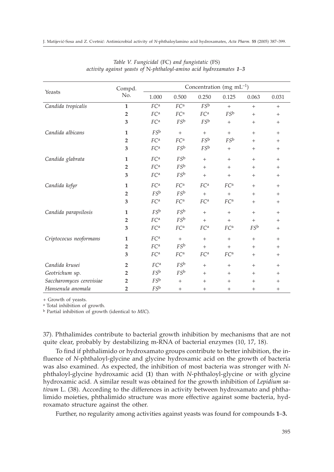|                          | Compd.         | Concentration (mg mL $^{-1}$ ) |                 |                 |                 |                 |        |  |
|--------------------------|----------------|--------------------------------|-----------------|-----------------|-----------------|-----------------|--------|--|
| Yeasts                   | No.            | 1.000                          | 0.500           | 0.250           | 0.125           | 0.063           | 0.031  |  |
| Candida tropicalis       | $\mathbf{1}$   | FC <sup>a</sup>                | FC <sup>a</sup> | $FS^b$          | $+$             | $+$             | $^{+}$ |  |
|                          | $\overline{2}$ | FC <sup>a</sup>                | FC <sup>a</sup> | FC <sup>a</sup> | $FS^b$          | $+$             | $^{+}$ |  |
|                          | 3              | FC <sup>a</sup>                | $FS^b$          | $FS^b$          | $+$             | $+$             | $^{+}$ |  |
| Candida albicans         | $\mathbf{1}$   | FSb                            | $^{+}$          | $+$             |                 | $+$             | $^{+}$ |  |
|                          | $\overline{2}$ | FC <sup>a</sup>                | FC <sup>a</sup> | FSb             | $FS^b$          | $^{+}$          | $^{+}$ |  |
|                          | 3              | FC <sup>a</sup>                | $FS^b$          | $FS^b$          | $\! + \!\!\!\!$ | $^{+}$          | $^{+}$ |  |
| Candida glabrata         | $\mathbf{1}$   | FC <sup>a</sup>                | $FS^b$          | $+$             | $+$             | $+$             | $+$    |  |
|                          | $\overline{2}$ | FC <sup>a</sup>                | FSb             | $+$             | $+$             | $+$             | $+$    |  |
|                          | 3              | FC <sup>a</sup>                | $FS^b$          | $+$             | $+$             | $^{+}$          | $^{+}$ |  |
| Candida kefyr            | $\mathbf{1}$   | FC <sup>a</sup>                | FC <sup>a</sup> | FC <sup>a</sup> | FC <sup>a</sup> | $+$             | $+$    |  |
|                          | $\overline{2}$ | $FS^{\rm b}$                   | FSb             | $+$             | $+$             | $^{+}$          | $^{+}$ |  |
|                          | 3              | FC <sup>a</sup>                | FC <sup>a</sup> | FC <sup>a</sup> | FC <sup>a</sup> | $+$             | $^{+}$ |  |
| Candida parapsilosis     | $\mathbf{1}$   | FSb                            | FS <sup>b</sup> | $+$             | $+$             | $+$             | $^{+}$ |  |
|                          | $\overline{2}$ | FC <sup>a</sup>                | $FS^b$          | $+$             | $+$             | $+$             | $^{+}$ |  |
|                          | 3              | FC <sup>a</sup>                | FC <sup>a</sup> | FC <sup>a</sup> | FC <sup>a</sup> | FSb             | $^{+}$ |  |
| Criptococus neoformans   | $\mathbf{1}$   | FC <sup>a</sup>                | $+$             | $^{+}$          | $^{+}$          | $^{+}$          | $^{+}$ |  |
|                          | $\overline{2}$ | FC <sup>a</sup>                | $FS^b$          | $+$             | $+$             | $+$             | $+$    |  |
|                          | 3              | FC <sup>a</sup>                | FC <sup>a</sup> | FC <sup>a</sup> | FC <sup>a</sup> | $^{+}$          | $^{+}$ |  |
| Candida krusei           | $\overline{2}$ | FC <sup>a</sup>                | $FS^b$          | $+$             | $+$             | $+$             | $+$    |  |
| Geotrichum sp.           | $\overline{2}$ | FSb                            | $FS^b$          | $+$             | $+$             | $+$             | $+$    |  |
| Saccharomyces cerevisiae | $\overline{2}$ | $FS^b$                         | $+$             | $+$             | $\! + \!\!\!\!$ | $^{+}$          | $^{+}$ |  |
| Hansenula anomala        | $\overline{2}$ | $FS^b$                         | $^{+}$          | $^{+}$          | $\! + \!\!\!\!$ | $\! + \!\!\!\!$ | $^{+}$ |  |

*Table V. Fungicidal* (FC) *and fungistatic* (FS) *activity against yeasts of* N*-phthaloyl-amino acid hydroxamates 1–3*

+ Growth of yeasts.

<sup>a</sup> Total inhibition of growth.

<sup>b</sup> Partial inhibition of growth (identical to *MIC*).

37). Phthalimides contribute to bacterial growth inhibition by mechanisms that are not quite clear, probably by destabilizing m-RNA of bacterial enzymes (10, 17, 18).

To find if phthalimido or hydroxamato groups contribute to better inhibition, the influence of *N*-phthaloyl-glycine and glycine hydroxamic acid on the growth of bacteria was also examined. As expected, the inhibition of most bacteria was stronger with *N*phthaloyl-glycine hydroxamic acid (**1**) than with *N*-phthaloyl-glycine or with glycine hydroxamic acid. A similar result was obtained for the growth inhibition of *Lepidium sativum* L. (38). According to the differences in activity between hydroxamato and phthalimido moieties, phthalimido structure was more effective against some bacteria, hydroxamato structure against the other.

Further, no regularity among activities against yeasts was found for compounds **1**–**3.**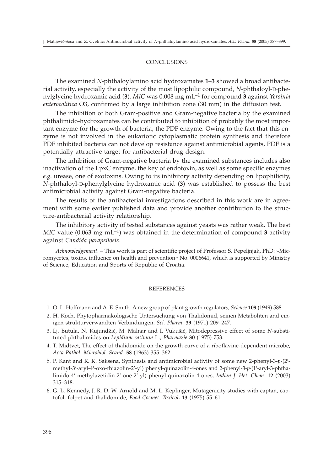#### **CONCLUSIONS**

The examined *N*-phthaloylamino acid hydroxamates **1**–**3** showed a broad antibacterial activity, especially the activity of the most lipophilic compound, *N*-phthaloyl-D-phenylglycine hydroxamic acid (**3**). *MIC* was 0.008 mg mL–1 for compound **3** against *Yersinia enterocolitica* O3, confirmed by a large inhibition zone (30 mm) in the diffusion test.

The inhibition of both Gram-positive and Gram-negative bacteria by the examined phthalimido-hydroxamates can be contributed to inhibition of probably the most important enzyme for the growth of bacteria, the PDF enzyme. Owing to the fact that this enzyme is not involved in the eukariotic cytoplasmatic protein synthesis and therefore PDF inhibited bacteria can not develop resistance against antimicrobial agents, PDF is a potentially attractive target for antibacterial drug design.

The inhibition of Gram-negative bacteria by the examined substances includes also inactivation of the LpxC enzyme, the key of endotoxin, as well as some specific enzymes *e.g.* urease, one of exotoxins. Owing to its inhibitory activity depending on lipophilicity, *N*-phthaloyl-D-phenylglycine hydroxamic acid (**3**) was established to possess the best antimicrobial activity against Gram-negative bacteria.

The results of the antibacterial investigations described in this work are in agreement with some earlier published data and provide another contribution to the structure-antibacterial activity relationship.

The inhibitory activity of tested substances against yeasts was rather weak. The best *MIC* value (0.063 mg mL<sup>-1</sup>) was obtained in the determination of compound 3 activity against *Candida parapsilosis.*

*Acknowledgement*. – This work is part of scientific project of Professor S. Pepeljnjak, PhD: »Micromycetes, toxins, influence on health and prevention« No. 0006641, which is supported by Ministry of Science, Education and Sports of Republic of Croatia.

#### REFERENCES

- 1. O. L. Hoffmann and A. E. Smith*,* A new group of plant growth regulators, *Science* **109** (1949) 588.
- 2. H. Koch, Phytopharmakologische Untersuchung von Thalidomid, seinen Metaboliten and einigen strukturverwandten Verbindungen, *Sci. Pharm*. **39** (1971) 209–247.
- 3. Lj. Butula, N. Kujund`i}, M. Malnar and I. Vuku{i}, Mitodepressive effect of some *N*-substituted phthalimides on *Lepidium sativum* L., *Pharmazie* **30** (1975) 753.
- 4. T. Midtvet, The effect of thalidomide on the growth curve of a riboflavine-dependent microbe, *Acta Pathol. Microbiol. Scand*. **58** (1963) 355–362.
- 5. P. Kant and R. K. Saksena, Synthesis and antimicrobial activity of some new 2-phenyl-3-*p*-(2 methyl-3-aryl-4-oxo-thiazolin-2-yl) phenyl-quinazolin-4-ones and 2-phenyl-3-*p*-(1-aryl-3-phthalimido-4-methylazetidin-2-one-2-yl) phenyl-quinazolin-4-ones*, Indian J. Het. Chem.* **12** (2003) 315–318.
- 6. G. L. Kennedy, J. R. D. W. Arnold and M. L. Keplinger, Mutagenicity studies with captan, captofol, folpet and thalidomide, *Food Cosmet. Toxicol***. 13** (1975) 55–61.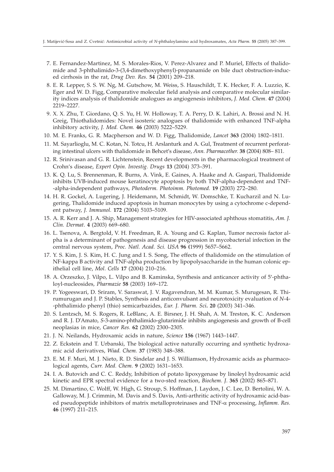- 7. E. Fernandez-Martinez, M. S. Morales-Rios, V. Perez-Alvarez and P. Muriel, Effects of thalidomide and 3-phthalimido-3-(3,4-dimethoxyphenyl)-propanamide on bile duct obstruction-induced cirrhosis in the rat, *Drug Dev. Res*. **54** (2001) 209–218.
- 8. E. R. Lepper, S. S. W. Ng, M. Gutschow, M. Weiss, S. Hauschildt, T. K. Hecker, F. A. Luzzio, K. Eger and W. D. Figg, Comparative molecular field analysis and comparative molecular similarity indices analysis of thalidomide analogues as angiogenesis inhibitors, *J. Med. Chem*. **47** (2004) 2219–2227.
- 9. X. X. Zhu, T. Giordano, Q. S. Yu, H. W. Holloway, T. A. Perry, D. K. Lahiri, A. Brossi and N. H. Greig, Thiothalidomides: Novel isosteric analogues of thalidomide with enhanced TNF-alpha inhibitory activity, *J. Med. Chem.* **46** (2003) 5222–5229.
- 10. M. E. Franks, G. R. Macpherson and W. D. Figg, Thalidomide, *Lancet* **363** (2004) 1802–1811.
- 11. M. Sayarlioglu, M. C. Kotan, N. Totcu, H. Arslanturk and A. Gul, Treatment of recurrent perforating intestinal ulcers with thalidomide in Behcet's disease, *Ann. Pharmacother.* **38** (2004) 808-811.
- 12. R. Srinivasan and G. R. Lichtenstein, Recent developments in the pharmacological treatment of Crohn's disease, *Expert Opin. Investig. Drugs* 13 (2004) 373-391.
- 13. K. Q. Lu, S. Brennenman, R. Burns, A. Vink, E. Gaines, A. Haake and A. Gaspari, Thalidomide inhibits UVB-induced mouse keratinocyte apoptosis by both TNF-alpha-dependent and TNF- -alpha-independent pathways, *Photoderm. Photoimm. Photomed.* **19** (2003) 272–280.
- 14. H. R. Gockel, A. Lugering, J. Heidemann, M. Schmidt, W. Domschke, T. Kucharzil and N. Lugering, Thalidomide induced apoptosis in human monocytes by using a cytochrome c-dependent patway, *J. Immunol.* **172** (2004) 5103–5109.
- 15. A. R. Kerr and J. A. Ship, Management strategies for HIV-associated aphthous stomatitis, *Am. J. Clin. Dermat*. **4** (2003) 669–680.
- 16. L. Tsenova, A. Bergtold, V. H. Freedman, R. A. Young and G. Kaplan, Tumor necrosis factor alpha is a determinant of pathogenesis and disease progression in mycobacterial infection in the central nervous system, *Proc. Natl. Acad. Sci. USA* **96 (**1999) 5657–5662.
- 17. Y. S. Kim, J. S. Kim, H. C. Jung and I. S. Song, The effects of thalidomide on the stimulation of NF-kappa B activity and TNF-alpha production by lipopolysaccharide in the human colonic epithelial cell line, *Mol*. *Cells* **17** (2004) 210–216.
- 18. A. Orzeszko, J. Vilpo, L. Vilpo and B. Kaminska, Synthesis and anticancer activity of 5-phthaloyl-nucleosides*, Pharmazie* **58** (2003) 169–172.
- 19. P. Yogeeswari, D. Sriram, V. Saraswat, J. V. Ragavendran, M. M. Kumar, S. Murugesan, R. Thirumurugan and J. P. Stables, Synthesis and anticonvulsant and neurotoxicity evaluation of *N*-4- -phthalimido phenyl (thio) semicarbazides, *Eur. J. Pharm. Sci***. 20** (2003) 341–346.
- 20. S. Lentzsch, M. S. Rogers, R. LeBlanc, A. E. Birsner, J. H. Shah, A. M. Treston, K. C. Anderson and R. J. D'Amato, *S*-3-amino-phthalimido-glutarimide inhibits angiogenesis and growth of B-cell neoplasias in mice, *Cancer Res.* **62** (2002) 2300–2305.
- 21. J. N. Neilands, Hydroxamic acids in nature, *Science* **156** (1967) 1443–1447.
- 22. Z. Eckstein and T. Urbanski*,* The biological active naturally occurring and synthetic hydroxamic acid derivatives, *Wiad. Chem.* **37** (1983) 348–388.
- 23. E. M. F. Muri, M. J. Nieto, R. D. Sindelar and J. S. Williamson, Hydroxamic acids as pharmacological agents, *Curr. Med. Chem*. **9** (2002) 1631–1653.
- 24. I. A. Butovich and C. C. Reddy, Inhibition of potato lipoxygenase by linoleyl hydroxamic acid kinetic and EPR spectral evidence for a two-sted reaction, *Biochem. J*. **365** (2002) 865–871.
- 25. M. Dimartino, C. Wolff, W. High, G. Stroup, S. Hoffman, J. Laydon, J. C. Lee, D. Bertolini, W. A. Galloway, M. J. Crimmin, M. Davis and S. Davis, Anti-arthritic activity of hydroxamic acid-based pseudopeptide inhibitors of matrix metalloproteinases and TNF- $\alpha$  processing, *Inflamm. Res.* **46** (1997) 211–215.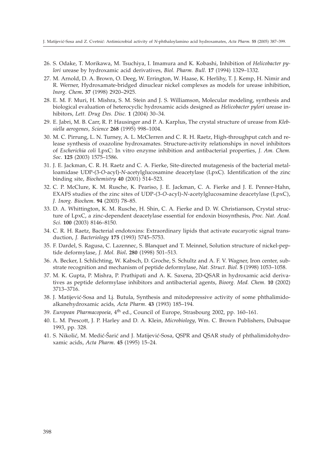- 26. S. Odake, T. Morikawa, M. Tsuchiya, I. Imamura and K. Kobashi, Inhibition of *Helicobacter pylori* urease by hydroxamic acid derivatives, *Biol. Pharm. Bull*. **17** (1994) 1329–1332.
- 27. M. Arnold, D. A. Brown, O. Deeg, W. Errington, W. Haase, K. Herlihy, T. J. Kemp, H. Nimir and R. Werner, Hydroxamate-bridged dinuclear nickel complexes as models for urease inhibition, *Inorg. Chem***. 37** (1998) 2920–2925.
- 28. E. M. F. Muri, H. Mishra, S. M. Stein and J. S. Williamson, Molecular modeling, synthesis and biological evaluation of heterocyclic hydroxamic acids designed as *Helicobacter pylori* urease inhibitors, *Lett. Drug Des. Disc.* **1** (2004) 30–34.
- 29. E. Jabri, M. B. Carr, R. P. Hausinger and P. A. Karplus, The crystal structure of urease from *Klebsiella aerogenes*, *Science* **268** (1995) 998–1004.
- 30. M. C. Pirrung, L. N. Turney, A. L. McClerren and C. R. H. Raetz, High-throughput catch and release synthesis of oxazoline hydroxamates. Structure-activity relationships in novel inhibitors of *Escherichia coli* LpxC: In vitro enzyme inhibition and antibacterial properties, *J. Am. Chem. Soc*. **125** (2003) 1575–1586.
- 31. J. E. Jackman, C. R. H. Raetz and C. A. Fierke, Site-directed mutagenesis of the bacterial metalloamidase UDP-(3-*O*-acyl)-*N*-acetylglucosamine deacetylase (LpxC). Identification of the zinc binding site, *Biochemistry* **40** (2001) 514–523.
- 32. C. P. McClure, K. M. Rusche, K. Peariso, J. E. Jackman, C. A. Fierke and J. E. Penner-Hahn, EXAFS studies of the zinc sites of UDP-(3-*O*-acyl)-*N*-acetylglucosamine deacetylase (LpxC), *J. Inorg. Biochem*. **94** (2003) 78–85.
- 33. D. A. Whittington, K. M. Rusche, H. Shin, C. A. Fierke and D. W. Christianson, Crystal structure of LpxC, a zinc-dependent deacetylase essential for endoxin biosynthesis, *Proc. Nat. Acad. Sci*. **100** (2003) 8146–8150.
- 34. C. R. H. Raetz, Bacterial endotoxins: Extraordinary lipids that activate eucaryotic signal transduction, *J. Bacteriology* **175** (1993) 5745–5753.
- 35. F. Dardel, S. Ragusa, C. Lazennec, S. Blanquet and T. Meinnel, Solution structure of nickel-peptide deformylase, *J. Mol. Biol***. 280** (1998) 501–513.
- 36. A. Becker, I. Schlichting, W. Kabsch, D. Groche, S. Schultz and A. F. V. Wagner, Iron center, substrate recognition and mechanism of peptide deformylase, *Nat. Struct. Biol.* **5** (1998) 1053–1058.
- 37. M. K. Gupta, P. Mishra, P. Prathipati and A. K. Saxena, 2D-QSAR in hydroxamic acid derivatives as peptide deformylase inhibitors and antibacterial agents, *Bioorg. Med. Chem*. **10** (2002) 3713–3716.
- 38. J. Matijević-Sosa and Lj. Butula, Synthesis and mitodepressive activity of some phthalimidoalkanehydroxamic acids*, Acta Pharm*. **43** (1993) 185–194.
- 39. *European Pharmacopoeia*, 4th ed., Council of Europe, Strasbourg 2002, pp. 160–161.
- 40. L. M. Prescott, J. P. Harley and D. A. Klein, *Microbiology*, Wm. C. Brown Publishers, Dubuque 1993, pp. 328.
- 41. S. Nikolić, M. Medić-Sarić and J. Matijević-Sosa, QSPR and QSAR study of phthalimidohydroxamic acids, *Acta Pharm*. **45** (1995) 15–24.